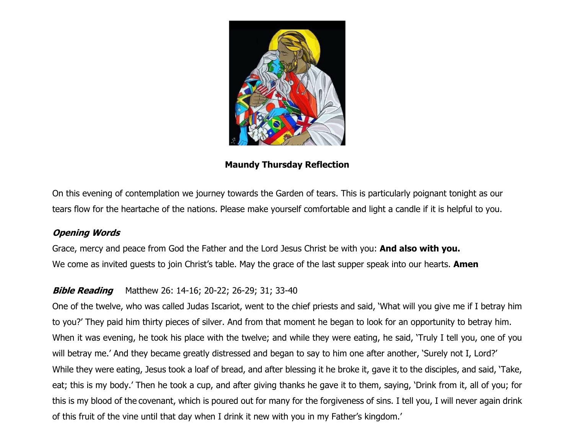

**Maundy Thursday Reflection**

On this evening of contemplation we journey towards the Garden of tears. This is particularly poignant tonight as our tears flow for the heartache of the nations. Please make yourself comfortable and light a candle if it is helpful to you.

# **Opening Words**

Grace, mercy and peace from God the Father and the Lord Jesus Christ be with you: **And also with you.** We come as invited guests to join Christ's table. May the grace of the last supper speak into our hearts. **Amen**

# **Bible Reading** Matthew 26: 14-16; 20-22; 26-29; 31; 33-40

One of the twelve, who was called Judas Iscariot, went to the chief priests and said, 'What will you give me if I betray him to you?' They paid him thirty pieces of silver. And from that moment he began to look for an opportunity to betray him. When it was evening, he took his place with the twelve; and while they were eating, he said, 'Truly I tell you, one of you will betray me.' And they became greatly distressed and began to say to him one after another, 'Surely not I, Lord?' While they were eating, Jesus took a loaf of bread, and after blessing it he broke it, gave it to the disciples, and said, 'Take, eat; this is my body.' Then he took a cup, and after giving thanks he gave it to them, saying, 'Drink from it, all of you; for this is my blood of the covenant, which is poured out for many for the forgiveness of sins. I tell you, I will never again drink of this fruit of the vine until that day when I drink it new with you in my Father's kingdom.'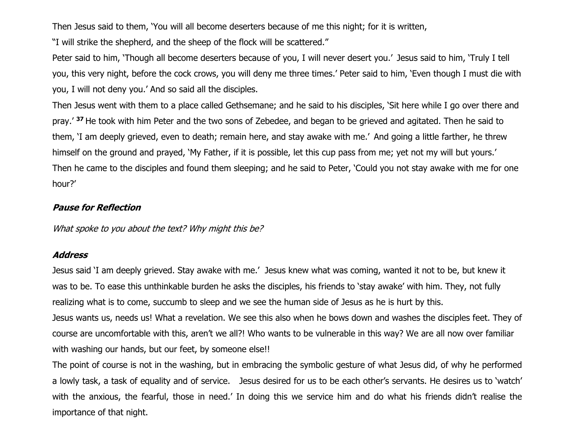Then Jesus said to them, 'You will all become deserters because of me this night; for it is written,

"I will strike the shepherd, and the sheep of the flock will be scattered."

Peter said to him, 'Though all become deserters because of you, I will never desert you.' Jesus said to him, 'Truly I tell you, this very night, before the cock crows, you will deny me three times.' Peter said to him, 'Even though I must die with you, I will not deny you.' And so said all the disciples.

Then Jesus went with them to a place called Gethsemane; and he said to his disciples, 'Sit here while I go over there and pray.' **<sup>37</sup>** He took with him Peter and the two sons of Zebedee, and began to be grieved and agitated. Then he said to them, 'I am deeply grieved, even to death; remain here, and stay awake with me.' And going a little farther, he threw himself on the ground and prayed, 'My Father, if it is possible, let this cup pass from me; yet not my will but yours.' Then he came to the disciples and found them sleeping; and he said to Peter, 'Could you not stay awake with me for one hour?'

#### **Pause for Reflection**

What spoke to you about the text? Why might this be?

#### **Address**

Jesus said 'I am deeply grieved. Stay awake with me.' Jesus knew what was coming, wanted it not to be, but knew it was to be. To ease this unthinkable burden he asks the disciples, his friends to 'stay awake' with him. They, not fully realizing what is to come, succumb to sleep and we see the human side of Jesus as he is hurt by this. Jesus wants us, needs us! What a revelation. We see this also when he bows down and washes the disciples feet. They of course are uncomfortable with this, aren't we all?! Who wants to be vulnerable in this way? We are all now over familiar with washing our hands, but our feet, by someone else!!

The point of course is not in the washing, but in embracing the symbolic gesture of what Jesus did, of why he performed a lowly task, a task of equality and of service. Jesus desired for us to be each other's servants. He desires us to 'watch' with the anxious, the fearful, those in need.' In doing this we service him and do what his friends didn't realise the importance of that night.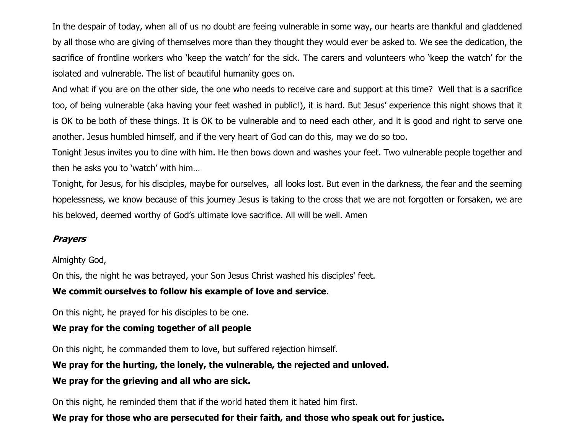In the despair of today, when all of us no doubt are feeing vulnerable in some way, our hearts are thankful and gladdened by all those who are giving of themselves more than they thought they would ever be asked to. We see the dedication, the sacrifice of frontline workers who 'keep the watch' for the sick. The carers and volunteers who 'keep the watch' for the isolated and vulnerable. The list of beautiful humanity goes on.

And what if you are on the other side, the one who needs to receive care and support at this time? Well that is a sacrifice too, of being vulnerable (aka having your feet washed in public!), it is hard. But Jesus' experience this night shows that it is OK to be both of these things. It is OK to be vulnerable and to need each other, and it is good and right to serve one another. Jesus humbled himself, and if the very heart of God can do this, may we do so too.

Tonight Jesus invites you to dine with him. He then bows down and washes your feet. Two vulnerable people together and then he asks you to 'watch' with him…

Tonight, for Jesus, for his disciples, maybe for ourselves, all looks lost. But even in the darkness, the fear and the seeming hopelessness, we know because of this journey Jesus is taking to the cross that we are not forgotten or forsaken, we are his beloved, deemed worthy of God's ultimate love sacrifice. All will be well. Amen

### **Prayers**

Almighty God,

On this, the night he was betrayed, your Son Jesus Christ washed his disciples' feet.

### **We commit ourselves to follow his example of love and service**.

On this night, he prayed for his disciples to be one.

#### **We pray for the coming together of all people**

On this night, he commanded them to love, but suffered rejection himself.

#### **We pray for the hurting, the lonely, the vulnerable, the rejected and unloved.**

### **We pray for the grieving and all who are sick.**

On this night, he reminded them that if the world hated them it hated him first.

## **We pray for those who are persecuted for their faith, and those who speak out for justice.**